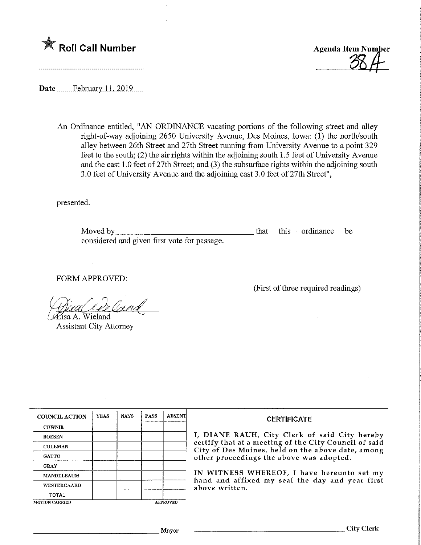



Date February 11, 2019

An Ordinance entitled, "AN ORDINANCE vacating portions of the following street and alley right-of-way adjoining 2650 University Avenue, Des Moines, Iowa: (1) the north/south alley between 26th Street and 27th Street running from University Avenue to a point 329 feet to the south; (2) the air rights within the adjoining south 1.5 feet of University Avenue and the east 1.0 feet of 27th Street; and (3) the subsurface rights within the adjoining south 3.0 feet of University Avenue and the adjoining east 3.0 feet of 27th Street",

presented.

Moved by considered and given first vote for passage. that this ordinance be

FORM APPROVED:

O^isa A. Wieland ^^

Assistant City Attorney

(First of three required readings)

| <b>COUNCIL ACTION</b> | <b>YEAS</b> | <b>NAYS</b>     | PASS | <b>ABSENT</b> |
|-----------------------|-------------|-----------------|------|---------------|
| <b>COWNIE</b>         |             |                 |      |               |
| <b>BOESEN</b>         |             |                 |      |               |
| <b>COLEMAN</b>        |             |                 |      |               |
| <b>GATTO</b>          |             |                 |      |               |
| <b>GRAY</b>           |             |                 |      |               |
| <b>MANDELBAUM</b>     |             |                 |      |               |
| <b>WESTERGAARD</b>    |             |                 |      |               |
| <b>TOTAL</b>          |             |                 |      |               |
| <b>MOTION CARRIED</b> |             | <b>APPROVED</b> |      |               |

#### CERTIFICATE

I, DIANE RAUH, City Clerk of said City hereby certify that at a meeting of the City Council of said City of Des Moines, held on the above date, among other proceedings the above was adopted.

IN WITNESS WHEREOF, I have hereunto set my hand and affixed my seal the day and year first above written.

Mayor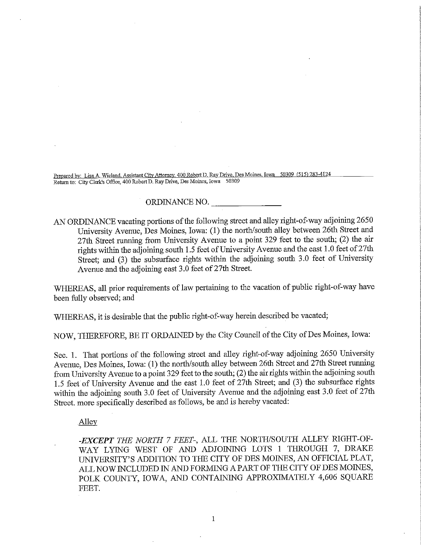Prepared by: Lisa A. Wieland, Assistant City Attorney. 400 Robert D. Ray Drive, Des Moines, Iowa 50309 (515) 283-4124 Return to: City Clerk's Office, 400 Robert D, Ray Drive, Des Moines, Iowa 50309

## ORDINANCE NO.

AN ORDINANCE vacating portions of the following street and alley right-of-way adjoining 2650 University Avenue, Des Moines, Iowa: (1) the north/south alley between 26th Street and 27th Street running from University Avenue to a point 329 feet to the south; (2) the air rights within the adjoining south 1.5 feet of University Avenue and the east 1.0 feet of  $27th$ Street; and (3) the subsurface rights within the adjoining south 3.0 feet of University Avenue and the adjoining east 3.0 feet of 27th Street.

WHEREAS, all prior requirements of law pertaining to the vacation of public right-of-way have been fully observed; and

WHEREAS, it is desirable that the public right-of-way herein described be vacated;

NOW, THEREFORE, BE IT ORDAINED by the City Council of the City of Des Moines, Iowa:

Sec. I. That portions of the following street and alley right-of-way adjoining 2650 University Avenue, Des Moines, Iowa: (1) the north/south alley between 26th Street and 27th Street running from University Avenue to a point 329 feet to the south; (2) the air rights within the adjoining south 1.5 feet of University Avenue and the east 1.0 feet of 27th Street; and (3) the subsurface rights within the adjoining south 3.0 feet of University Avenue and the adjoining east 3.0 feet of 27th Street, more specifically described as follows, be and is hereby vacated:

# Alley

-EXCEPT THE NORTH 7 FEET-, ALL THE NORTH/SOUTH ALLEY RIGHT-OF-WAY LYING WEST OF AND ADJOINING LOTS 1 THROUGH 7, DRAKE UMVERSITY'S ADDITION TO THE CITY OF DES MOINES, AN OFFICIAL PLAT, ALL NOW INCLUDED IN AND FORMING A PART OF THE CITY OF DES MOINES, POLK COUNTY, IOWA, AND CONTAINING APPROXIMATELY 4,606 SQUARE FEET.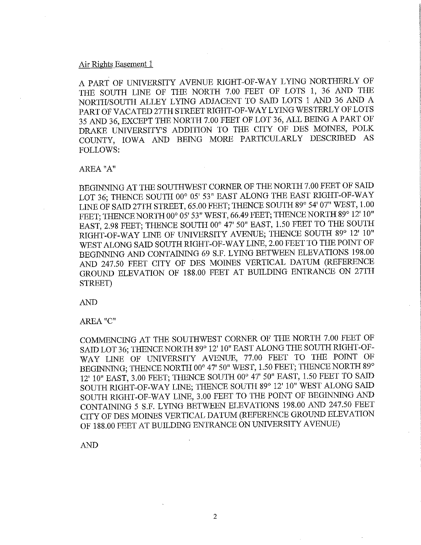## Air Rights Easement 1

A PART OF UNWERSITY AVENUE RIGHT-OF-WAY LYmG NORTHERLY OF THE SOUTH LINE OF THE NORTH 7.00 FEET OF LOTS 1, 36 AND THE NORTH/SOUTH ALLEY LYING ADJACENT TO SAID LOTS 1 AND 36 AND A PART OF VACATED 27TH STREET RIGHT-OF-WAY LYING WESTERLY OF LOTS 35 AND 36, EXCEPT THE NORTH 7.00 FEET OF LOT 36, ALL BEING A PART OF DRAKE UNIVERSITY'S ADDITION TO THE CITY OF DES MOINES, POLK COUNTY, IOWA AND BEING MORE PARTICULARLY DESCRIBED AS FOLLOWS:

## AREA "A"

BEGINNING AT THE SOUTHWEST CORNER OF THE NORTH 7.00 FEET OF SAID LOT 36; THENCE SOUTH 00° 05' 53" EAST ALONG THE EAST RIGHT-OF-WAY LINE OF SAID 27TH STREET, 65.00 FEET; THENCE SOUTH 89° 54' 07" WEST, 1.00 FEET; THENCE NORTH 00° 05' 53" WEST, 66.49 FEET; THENCE NORTH 89° 12' 10" EAST, 2.98 FEET; THENCE SOUTH 00° 47' 50" EAST, 1.50 FEET TO THE SOUTH RIGHT-OF-WAY LINE OF UNIVERSITY AVENUE; THENCE SOUTH 89° 12' 10" WEST ALONG SAID SOUTH RIGHT-OF-WAY LINE, 2.00 FEET TO THE POINT OF BEGINNING AND CONTAINING 69 S.F. LYING BETWEEN ELEVATIONS 198.00 AND 247.50 FEET CITY OF DES MOINES VERTICAL DATUM (REFERENCE GROUND ELEVATION OF 188.00 FEET AT BUILDING ENTRANCE ON 27TH STREET)

AND

## AREA "C"

COMMENCING AT THE SOUTHWEST CORNER OF THE NORTH 7.00 FEET OF SAID LOT 36; THENCE NORTH 89° 12' 10" EAST ALONG THE SOUTH RIGHT-OF-WAY LINE OF UNIVERSITY AVENUE, 77.00 FEET TO THE POINT OF BEGMNING; THENCE NORTH 00° 47' 50" WEST, 1.50 FEET; THENCE NORTH 89° 12' 10" EAST, 3.00 FEET; THENCE SOUTH 00° 47' 50" EAST, 1.50 FEET TO SAID SOUTH RIGHT-OF-WAY LINE; THENCE SOUTH 89° 12' 10" WEST ALONG SAID SOUTH RIGHT-OF-WAY LINE, 3.00 FEET TO THE POINT OF BEGINNING AND CONTAINmG 5 S.F. LYING BETWEEN ELEVATIONS 198.00 AND 247.50 FEET CITY OF DES MOINES VERTICAL DATUM (REFERENCE GROUND ELEVATION OF 188.00 FEET AT BUILDING ENTRANCE ON UNIVERSITY AVENUE)

AND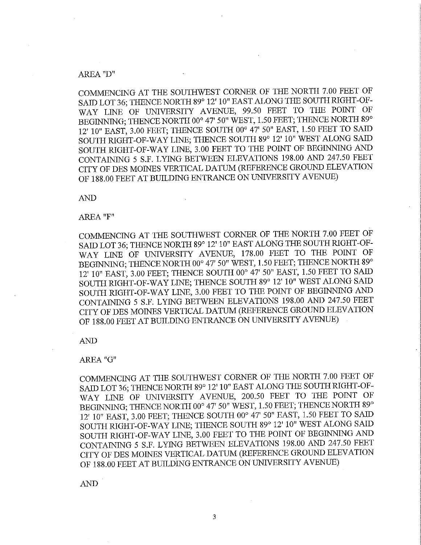## AREA "D"

COMMENCING AT THE SOUTHWEST CORNER OF THE NORTH 7.00 FEET OF SAID LOT 36; THENCE NORTH 89° 12' 10" EAST ALONG THE SOUTH RIGHT-OF-WAY LINE OF UNIVERSITY AVENUE, 99.50 FEET TO THE POINT OF BEGINNING; THENCE NORTH 00° 47' 50" WEST, 1.50 FEET; THENCE NORTH 89° 12' 10" EAST, 3.00 FEET; THENCE SOUTH 00° 47' 50" EAST, 1.50 FEET TO SAID SOUTH RIGHT-OF-WAY LINE; THENCE SOUTH 89° 12' 10" WEST ALONG SAID SOUTH RIGHT-OF-WAY LINE, 3.00 FEET TO THE POINT OF BEGINNING AND CONTAINING 5 S.F. LYING BETWEEN ELEVATIONS 198.00 AND 247.50 FEET CITY OF DES MOINES VERTICAL DATUM (REFERENCE GROUND ELEVATION OF 188.00 FEET AT BUILDING ENTRANCE ON UNIVERSITY AVENUE)

AND

# AREA "F"

COMMENCING AT THE SOUTHWEST CORNER OF THE NORTH 7.00 FEET OF SAID LOT 36; THENCE NORTH 89° 12' 10" EAST ALONG THE SOUTH RIGHT-OF-WAY LINE OF UNIVERSITY AVENUE, 178.00 FEET TO THE POINT OF BEGINNING; THENCE NORTH 00° 47' 50" WEST, 1.50 FEET; THENCE NORTH 89° 12' 10" EAST, 3.00 FEET; THENCE SOUTH 00° 47' 50" EAST, 1.50 FEET TO SAID SOUTH RIGHT-OF-WAY LINE; THENCE SOUTH 89° 12' 10" WEST ALONG SAID SOUTH RIGHT-OF-WAY LINE, 3.00 FEET TO THE POINT OF BEGINNING AND CONTAINING 5 S.F. LYING BETWEEN ELEVATIONS 198.00 AND 247.50 FEET CITY OF DES MOINES VERTICAL DATUM (REFERENCE GROUND ELEVATION OF 188.00 FEET AT BUILDING ENTRANCE ON UNIVERSITY AVENUE)

AND

#### AREA "G"

COMMENCING AT THE SOUTHWEST CORNER OF THE NORTH 7.00 FEET OF SAID LOT 36; THENCE NORTH 89° 12' 10" EAST ALONG THE SOUTH RIGHT-OF-WAY LINE OF UNIVERSITY AVENUE, 200.50 FEET TO THE POINT OF BEGINNING; THENCE NORTH 00° 47' 50" WEST, 1.50 FEET; THENCE NORTH 89° 12' 10" EAST, 3.00 FEET; THENCE SOUTH 00° 47' 50" BAST, 1.50 FEET TO SAID SOUTH RIGHT-OF-WAY LINE; THENCE SOUTH 89° 12' 10" WEST ALONG SAID SOUTH RIGHT-OF-WAY LINE, 3.00 FEET TO THE POINT OF BEGINMNG AND CONTAMNG 5 S.F. LYING BETWEEN ELEVATIONS 198.00 AND 247.50 FEET CITY OF DES MOINES VERTICAL DATUM (REFERENCE GROUND ELEVATION OF 188.00 FEET AT BUILDING ENTRANCE ON UNIVERSITY AVENUE)

AND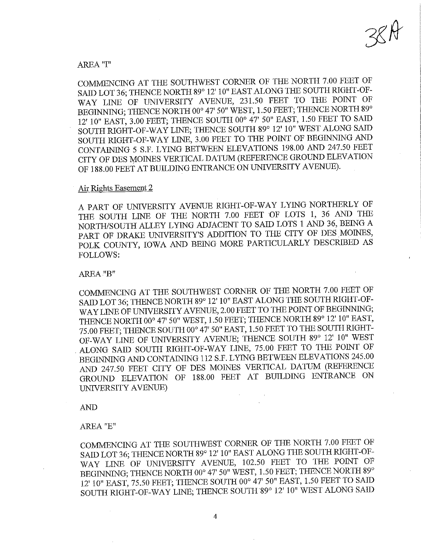# AREA "I"

COMMENCING AT THE SOUTHWEST CORNER OF THE NORTH 7.00 FEET OF SAID LOT 36; THENCE NORTH 89° 12' 10" EAST ALONG THE SOUTH RIGHT-OF-WAY LINE OF UNIVERSITY AVENUE, 231.50 FEET TO THE POINT OF BEGINNING; THENCE NORTH 00° 47' 50" WEST, 1.50 FEET; THENCE NORTH 89° 12' 10" EAST, 3.00 FEET; THENCE SOUTH 00° 47' 50" EAST, 1.50 FEET TO SAID SOUTH RIGHT-OF-WAY LINE; THENCE SOUTH 89° 12' 10" WEST ALONG SAID SOUTH RIGHT-OF-WAY LINE, 3.00 FEET TO THE POINT OF BEGINNING AND CONTAINING 5 S.F. LYING BETWEEN ELEVATIONS 198.00 AND 247.50 FEET CITY OF DES MOINES VERTICAL DATUM (REFERENCE GROUND ELEVATION OF 188.00 FEET AT BUILDING ENTRANCE ON UNIVERSITY AVENUE).

## Air Rights Easement\_2

A PART OF UNIVERSITY AVENUE RIGHT-OF-WAY LYING NORTHERLY OF THE SOUTH LINE OF THE NORTH 7.00 FEET OF LOTS 1, 36 AND THE NORTH/SOUTH ALLEY LYING ADJACENT TO SAID LOTS 1 AND 36, BEING A PART OF DRAKE UNIVERSITY'S ADDITION TO THE CITY OF DES MOINES, POLK COUNTY, IOWA AND BEING MORE PARTICULARLY DESCRIBBD AS FOLLOWS:

## AREA "B"

COMMENCING AT THE SOUTHWEST CORNER OF THE NORTH 7.00 FEET OF SAID LOT 36; THENCE NORTH 89° 12' 10" EAST ALONG THE SOUTH RIGHT-OF-WAY LINE OF UNIVERSITY AVENUE, 2.00 FEET TO THE POINT OF BEGINNING; THENCE NORTH 00° 47' 50" WEST, 1.50 FEET; THENCE NORTH 89° 12' 10" EAST, 75.00 FEET; THENCE SOUTH 00° 47' 50" EAST, 1.50 FEET TO THE SOUTH RIGHT-OF-WAY LINE OF UNIVERSITY AVENUE; THENCE SOUTH 89° 12' 10" WEST ALONG SAID SOUTH RIGHT-OF-WAY LINE, 75.00 FEET TO THE POINT OF BEGINNING AND CONTAINING 112 S.F. LYmG BETWEEN ELEVATIONS 245.00 AND 247.50 FEET CITY OF DES MOINES VERTICAL DATUM (REFERENCE GROUND ELEVATION OF 188.00 FEET AT BUILDING ENTRANCE ON UNIVERSITY AVENUE)

AND

# AREA "E"

COMMENCmO AT THE SOUTHWEST CORNER OF THE NORTH 7.00 FEET OF SAID LOT 36; THENCE NORTH 89° 12' 10" EAST ALONG THE SOUTH RIGHT-OF-WAY LINE OF UNIVERSITY AVENUE, 102.50 FEET TO THE POINT OF BEGINNING; THENCE NORTH 00° 47' 50" WEST, 1.50 FEET; THENCE NORTH 89° 12' 10" EAST, 75.50 FEET; THENCE SOUTH 00° 47' 50" EAST, 1.50 FEBT TO SAID SOUTH RIGHT-OF-WAY LINE; THENCE SOUTH 89° 12' 10" WEST ALONG SAID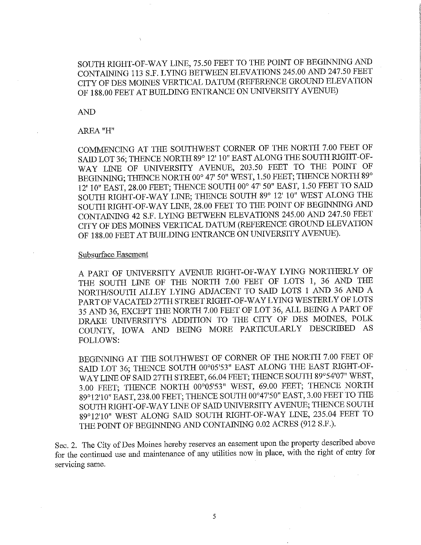# SOUTH RIGHT-OF-WAY LINE, 75.50 FEET TO THE POINT OF BEGINNING AND CONTAINING 113 S.F. LYING BETWEEN ELEVATIONS 245.00 AND 247.50 FEET CITY OF DES MOINES VERTICAL DATUM (REFERBNCE GROUND ELEVATION OF 188.00 FEET AT BUILDING ENTRANCB ON UNIVERSITY AVENUE)

AND

# AREA "H"

COMMENCING AT THE SOUTHWEST CORNER OF THE NORTH 7.00 FEET OF SAID LOT 36; THENCE NORTH 89° 12' 10" EAST ALONG THE SOUTH RJGHT-OF-WAY LINE OF UNIVERSITY AVENUE, 203.50 FEET TO THE POINT OF BEGINNING; THENCE NORTH 00° 47' 50" WEST, 1.50 FEET; THENCE NORTH 89° 12' 10" EAST, 28.00 FEET; THENCE SOUTH 00° 47' 50" EAST, 1.50 FEET TO SAID SOUTH RIGHT-OF-WAY LINE; THENCE SOUTH 89° 12' 10" WEST ALONG THE SOUTH RIGHT-OF-WAY LINE, 28.00 FEET TO THE POINT OF BEGINNING AND CONTAINING 42 S.F. LYING BETWEEN ELEVATIONS 245.00 AND 247.50 FEET CITY OF DES MOmES VERTICAL DATUM (REFERENCE GROUND ELEVATION OF 188.00 FEET AT BUILDING ENTRANCE ON UNIVERSITY AVENUE).

# Subsurface Easement

A PART OF UNWERSITY AVENUE RIGHT-OF-WAY LYING NORTHERLY OF THE SOUTH LINE OF THE NORTH 7.00 FEET OF LOTS 1, 36 AND THE NORTH/SOUTH ALLEY LYING ADJACENT TO SAID LOTS 1 AND 36 AND A PART OF VACATED 27TH STREET RIGHT-OF-WAY LYING WESTERLY OF LOTS 35 AND 36, EXCEPT THE NORTH 7.00 FEET OF LOT 36, ALL BEING A PART OF DRAKE UNIVERSITY'S ADDITION TO THE CITY OF DES MOINES, POLK COUNTY, IOWA AND BEING MORE PARTICULARLY DESCRIBED AS FOLLOWS:

BEGINNING AT THE SOUTHWEST OF CORNER OF THE NORTH 7.00 FEET OF SAID LOT 36; THENCE SOUTH 00°05'53" EAST ALONG THE EAST RIGHT-OF-WAY LINE OF SAID 27TH STREET, 66.04 FEET; THENCE SOUTH 89°54'07" WEST, 3.00 FEET; THENCE NORTH 00°05'53" WEST, 69.00 FEET; THENCE NORTH 89°12'10" EAST, 238.00 FEET; THENCE SOUTH 00°47'50" EAST, 3.00 FEET TO THE SOUTH RIGHT-OF-WAY LINE OF SAID UNIVERSITY AVENUE; THENCE SOUTH 89°12'10" WEST ALONG SAID SOUTH RIGHT-OF-WAY LINE, 235.04 FEET TO THE POINT OF BEGINNING AND CONTAINING 0.02 ACRES (912 S.F.).

Sec. 2. The City of Des Moines hereby reserves an easement upon the property described above for the contmued use and maintenance of any utilities now in place, with the right of entry for servicing same.